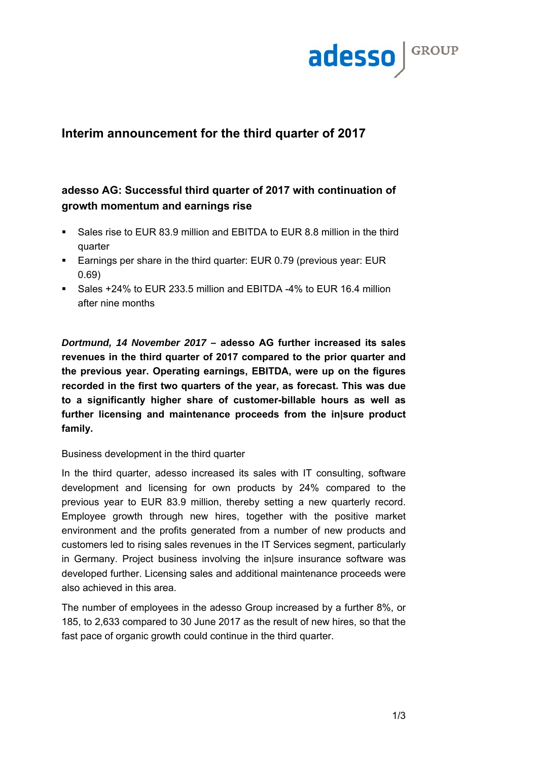

# **Interim announcement for the third quarter of 2017**

# **adesso AG: Successful third quarter of 2017 with continuation of growth momentum and earnings rise**

- Sales rise to EUR 83.9 million and EBITDA to EUR 8.8 million in the third quarter
- Earnings per share in the third quarter: EUR 0.79 (previous year: EUR 0.69)
- Sales +24% to EUR 233.5 million and EBITDA -4% to EUR 16.4 million after nine months

*Dortmund, 14 November 2017 –* **adesso AG further increased its sales revenues in the third quarter of 2017 compared to the prior quarter and the previous year. Operating earnings, EBITDA, were up on the figures recorded in the first two quarters of the year, as forecast. This was due to a significantly higher share of customer-billable hours as well as further licensing and maintenance proceeds from the in|sure product family.** 

## Business development in the third quarter

In the third quarter, adesso increased its sales with IT consulting, software development and licensing for own products by 24% compared to the previous year to EUR 83.9 million, thereby setting a new quarterly record. Employee growth through new hires, together with the positive market environment and the profits generated from a number of new products and customers led to rising sales revenues in the IT Services segment, particularly in Germany. Project business involving the in|sure insurance software was developed further. Licensing sales and additional maintenance proceeds were also achieved in this area.

The number of employees in the adesso Group increased by a further 8%, or 185, to 2,633 compared to 30 June 2017 as the result of new hires, so that the fast pace of organic growth could continue in the third quarter.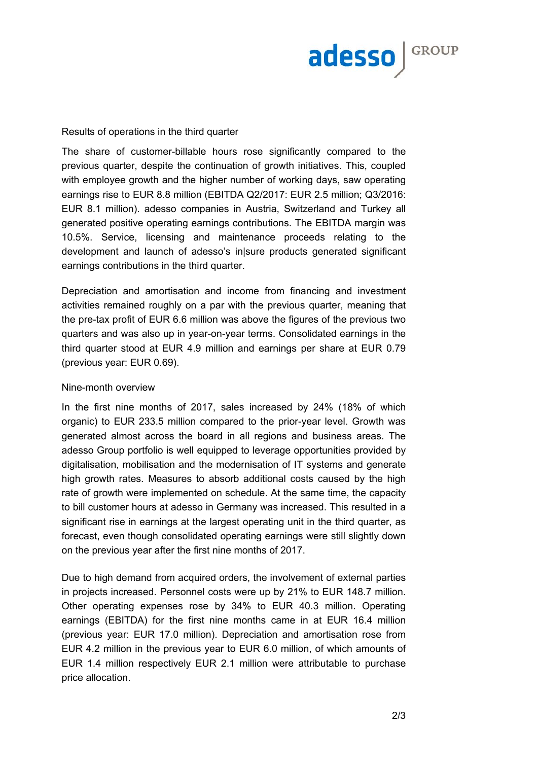

#### Results of operations in the third quarter

The share of customer-billable hours rose significantly compared to the previous quarter, despite the continuation of growth initiatives. This, coupled with employee growth and the higher number of working days, saw operating earnings rise to EUR 8.8 million (EBITDA Q2/2017: EUR 2.5 million; Q3/2016: EUR 8.1 million). adesso companies in Austria, Switzerland and Turkey all generated positive operating earnings contributions. The EBITDA margin was 10.5%. Service, licensing and maintenance proceeds relating to the development and launch of adesso's in|sure products generated significant earnings contributions in the third quarter.

Depreciation and amortisation and income from financing and investment activities remained roughly on a par with the previous quarter, meaning that the pre-tax profit of EUR 6.6 million was above the figures of the previous two quarters and was also up in year-on-year terms. Consolidated earnings in the third quarter stood at EUR 4.9 million and earnings per share at EUR 0.79 (previous year: EUR 0.69).

#### Nine-month overview

In the first nine months of 2017, sales increased by 24% (18% of which organic) to EUR 233.5 million compared to the prior-year level. Growth was generated almost across the board in all regions and business areas. The adesso Group portfolio is well equipped to leverage opportunities provided by digitalisation, mobilisation and the modernisation of IT systems and generate high growth rates. Measures to absorb additional costs caused by the high rate of growth were implemented on schedule. At the same time, the capacity to bill customer hours at adesso in Germany was increased. This resulted in a significant rise in earnings at the largest operating unit in the third quarter, as forecast, even though consolidated operating earnings were still slightly down on the previous year after the first nine months of 2017.

Due to high demand from acquired orders, the involvement of external parties in projects increased. Personnel costs were up by 21% to EUR 148.7 million. Other operating expenses rose by 34% to EUR 40.3 million. Operating earnings (EBITDA) for the first nine months came in at EUR 16.4 million (previous year: EUR 17.0 million). Depreciation and amortisation rose from EUR 4.2 million in the previous year to EUR 6.0 million, of which amounts of EUR 1.4 million respectively EUR 2.1 million were attributable to purchase price allocation.